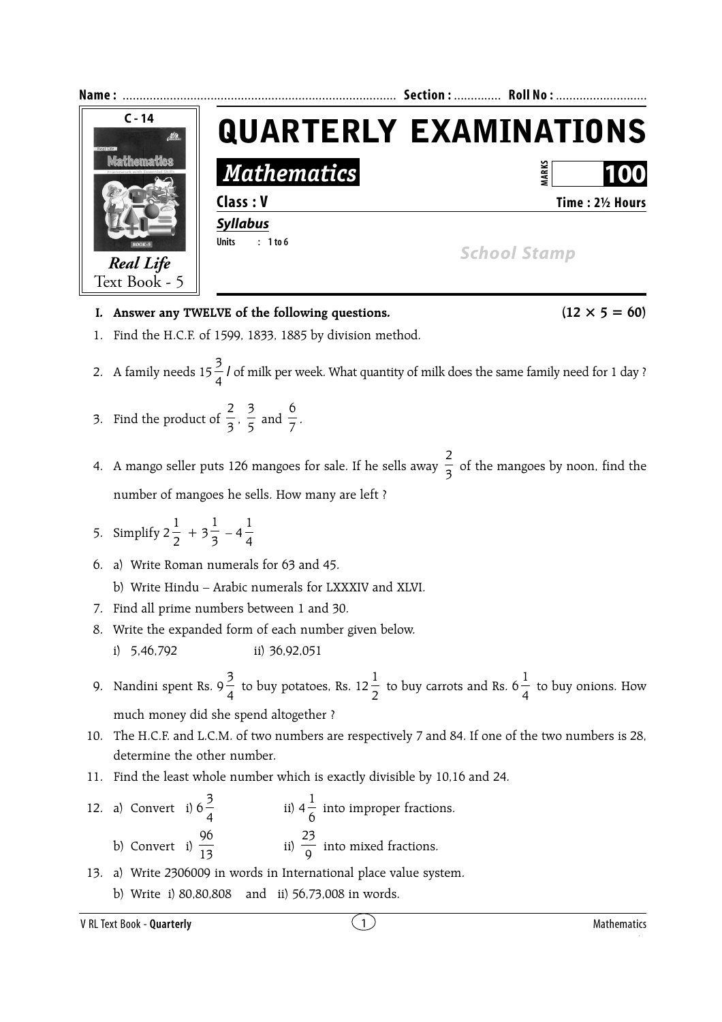

- **I.** Answer any TWELVE of the following questions.  $(12 \times 5 = 60)$
- 1. Find the H.C.F. of 1599, 1833, 1885 by division method.
- 2. A family needs  $15\frac{3}{4}$  *l* of milk per week. What quantity of milk does the same family need for 1 day ?
- 3. Find the product of  $\frac{1}{3}$ 2  $, \frac{1}{5}$ 3 and  $\frac{1}{7}$ 6 .
- 4. A mango seller puts 126 mangoes for sale. If he sells away  $\frac{1}{3}$ 2 of the mangoes by noon, find the number of mangoes he sells. How many are left ?
- 5. Simplify  $2\frac{1}{2}$ 1  $+3\frac{1}{3}$ 1  $-4\frac{1}{4}$ 1
- 6. a) Write Roman numerals for 63 and 45.
	- b) Write Hindu Arabic numerals for LXXXIV and XLVI.
- 7. Find all prime numbers between 1 and 30.
- 8. Write the expanded form of each number given below. i) 5,46,792 ii) 36,92,051
- 9. Nandini spent Rs. 9 $\frac{3}{4}$  to buy potatoes, Rs. 12 $\frac{1}{2}$ to buy carrots and Rs.  $6\frac{1}{4}$ 1 to buy onions. How much money did she spend altogether ?
- 10. The H.C.F. and L.C.M. of two numbers are respectively 7 and 84. If one of the two numbers is 28, determine the other number.
- 11. Find the least whole number which is exactly divisible by 10,16 and 24.
- 12. a) Convert i)  $6\frac{3}{4}$  $\frac{3}{4}$  ii)  $4\frac{1}{6}$  into improper fractions. b) Convert i)  $\frac{1}{13}$ 96 ii)  $\frac{23}{9}$  into mixed fractions.
- 13. a) Write 2306009 in words in International place value system.
	- b) Write i) 80,80,808 and ii) 56,73,008 in words.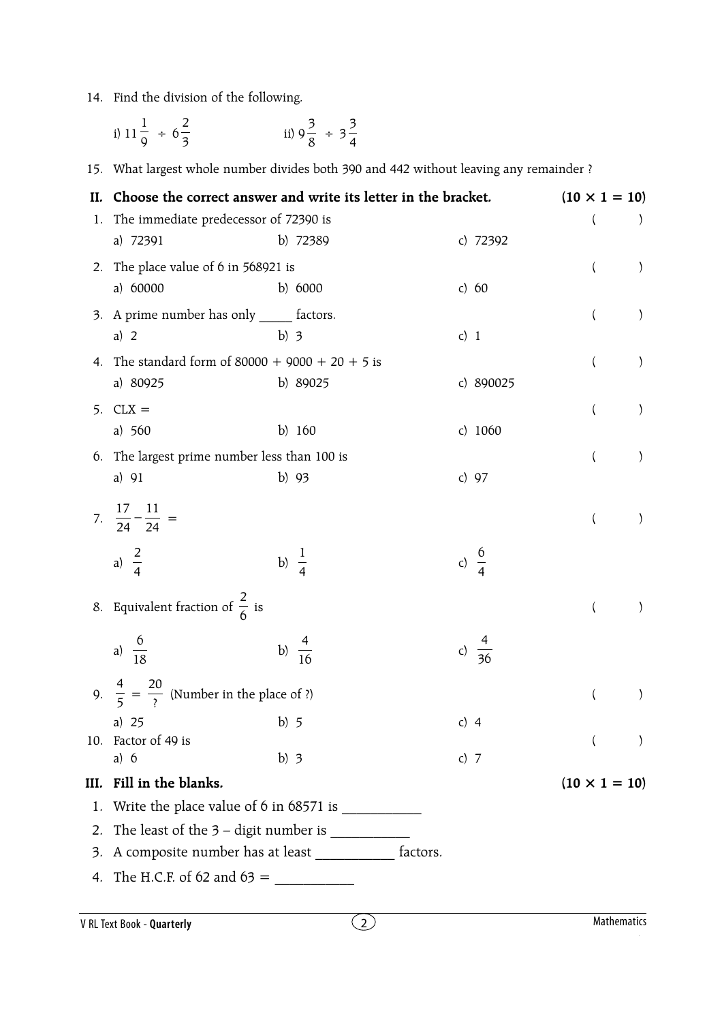## 14. Find the division of the following.

|    | i) $11\frac{1}{9} \div 6\frac{2}{3}$                           | ii) $9\frac{3}{8}$ ÷ $3\frac{3}{4}$                                                    |                      |                  |               |
|----|----------------------------------------------------------------|----------------------------------------------------------------------------------------|----------------------|------------------|---------------|
|    |                                                                | 15. What largest whole number divides both 390 and 442 without leaving any remainder ? |                      |                  |               |
| П. | Choose the correct answer and write its letter in the bracket. |                                                                                        | $(10 \times 1 = 10)$ |                  |               |
|    | 1. The immediate predecessor of 72390 is                       |                                                                                        |                      |                  |               |
|    | a) 72391                                                       | b) 72389                                                                               | c) 72392             |                  |               |
|    | 2. The place value of 6 in 568921 is                           |                                                                                        |                      | $\left( \right)$ |               |
|    | a) 60000                                                       | b) $6000$                                                                              | c) $60$              |                  |               |
|    | 3. A prime number has only ______ factors.                     |                                                                                        |                      |                  | $\mathcal{E}$ |
|    | a) $2$                                                         | b) $3$                                                                                 | c) $1$               |                  |               |
| 4. | The standard form of $80000 + 9000 + 20 + 5$ is                |                                                                                        |                      |                  | $\big)$       |
|    | a) 80925                                                       | b) 89025                                                                               | c) 890025            |                  |               |
| 5. | $CLX =$                                                        |                                                                                        |                      | $\left($         | $\mathcal{E}$ |
|    | a) $560$                                                       | b) $160$                                                                               | c) $1060$            |                  |               |
|    | 6. The largest prime number less than 100 is                   |                                                                                        |                      |                  | $\mathcal{E}$ |
|    | a) 91                                                          | b) 93                                                                                  | c) $97$              |                  |               |
|    | 7. $rac{17}{24} - \frac{11}{24} =$                             |                                                                                        |                      |                  | $\mathcal{F}$ |
|    | a) $\frac{2}{4}$                                               | b) $\frac{1}{4}$                                                                       | c) $\frac{6}{4}$     |                  |               |
|    | 8. Equivalent fraction of $\frac{2}{6}$ is                     |                                                                                        |                      |                  |               |
|    | a) $\frac{6}{18}$                                              | b) $\frac{4}{16}$                                                                      |                      |                  |               |
|    | 9. $\frac{4}{5} = \frac{20}{3}$ (Number in the place of ?)     |                                                                                        |                      |                  |               |
|    | a) $25$                                                        | b) $5$                                                                                 | c) $4$               |                  |               |
|    | 10. Factor of 49 is                                            |                                                                                        |                      |                  |               |
|    | a) $6$                                                         | b) $3$                                                                                 | c) $7$               |                  |               |
|    | III. Fill in the blanks.                                       |                                                                                        | $(10 \times 1 = 10)$ |                  |               |
|    |                                                                |                                                                                        |                      |                  |               |
|    |                                                                |                                                                                        |                      |                  |               |
|    | 3. A composite number has at least _____________ factors.      |                                                                                        |                      |                  |               |
|    | 4. The H.C.F. of 62 and 63 =                                   |                                                                                        |                      |                  |               |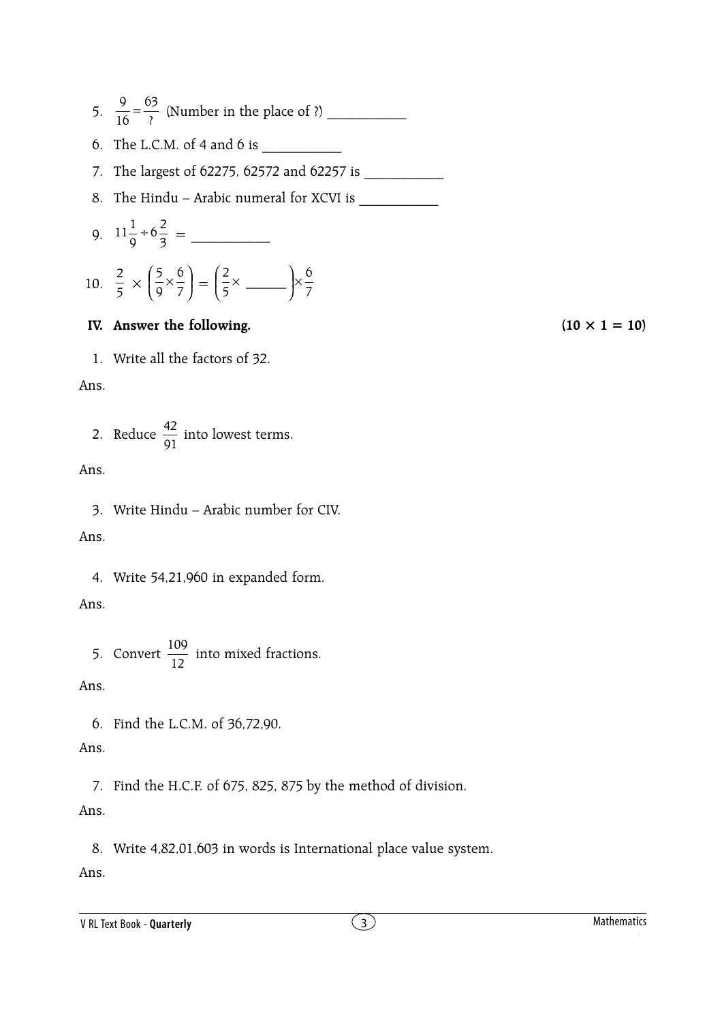5.  $\frac{9}{16} = \frac{63}{?}$ 16 <sup>9</sup> <sup>=</sup> (Number in the place of ?) \_\_\_\_\_\_\_\_\_\_\_

6. The L.C.M. of 4 and 6 is  $\frac{1}{\sqrt{1-\frac{1}{c^2}}}$ 

- 7. The largest of 62275, 62572 and 62257 is \_\_\_\_\_\_\_\_\_\_\_
- 8. The Hindu Arabic numeral for XCVI is \_\_\_\_\_\_\_\_\_\_\_

9. 
$$
11\frac{1}{9} \div 6\frac{2}{3} =
$$

10. 
$$
\frac{2}{5} \times \left(\frac{5}{9} \times \frac{6}{7}\right) = \left(\frac{2}{5} \times \frac{6}{1}\right) \times \frac{6}{7}
$$

## **IV.** Answer the following.  $(10 \times 1 = 10)$

1. Write all the factors of 32.

Ans.

2. Reduce 
$$
\frac{42}{91}
$$
 into lowest terms.

Ans.

3. Write Hindu – Arabic number for CIV.

Ans.

4. Write 54,21,960 in expanded form.

Ans.

5. Convert 
$$
\frac{109}{12}
$$
 into mixed fractions.

Ans.

6. Find the L.C.M. of 36,72,90.

## Ans.

7. Find the H.C.F. of 675, 825, 875 by the method of division.

## Ans.

8. Write 4,82,01,603 in words is International place value system.

Ans.

V RL Text Book - **Quarterly** Mathematics